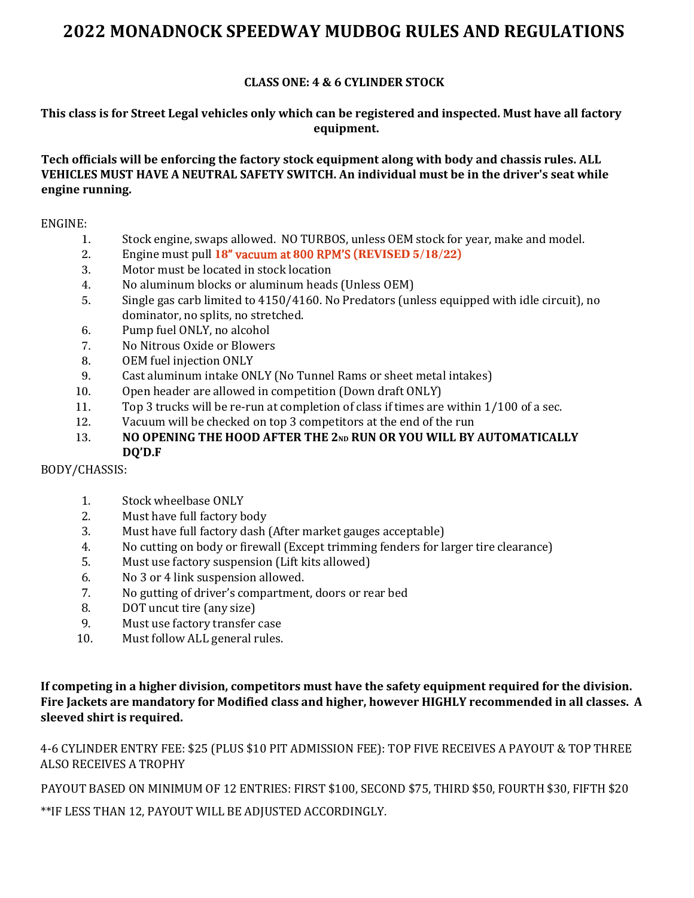# **2022 MONADNOCK SPEEDWAY MUDBOG RULES AND REGULATIONS**

## **CLASS ONE: 4 & 6 CYLINDER STOCK**

## **This class is for Street Legal vehicles only which can be registered and inspected. Must have all factory equipment.**

### **Tech officials will be enforcing the factory stock equipment along with body and chassis rules. ALL VEHICLES MUST HAVE A NEUTRAL SAFETY SWITCH. An individual must be in the driver's seat while engine running.**

#### ENGINE:

- 1. Stock engine, swaps allowed. NO TURBOS, unless OEM stock for year, make and model.
- 2. Engine must pull **18**" vacuum at **8**00 RPM'S **(REVISED 5/18/22)**
- 3. Motor must be located in stock location
- 4. No aluminum blocks or aluminum heads (Unless OEM)
- 5. Single gas carb limited to 4150/4160. No Predators (unless equipped with idle circuit), no dominator, no splits, no stretched.
- 6. Pump fuel ONLY, no alcohol
- 7. No Nitrous Oxide or Blowers
- 8. OEM fuel injection ONLY
- 9. Cast aluminum intake ONLY (No Tunnel Rams or sheet metal intakes)
- 10. Open header are allowed in competition (Down draft ONLY)
- 11. Top 3 trucks will be re-run at completion of class if times are within 1/100 of a sec.
- 12. Vacuum will be checked on top 3 competitors at the end of the run
- 13. **NO OPENING THE HOOD AFTER THE 2ND RUN OR YOU WILL BY AUTOMATICALLY**  DQ'D.F

#### BODY/CHASSIS:

- 1. Stock wheelbase ONLY
- 2. Must have full factory body
- 3. Must have full factory dash (After market gauges acceptable)
- 4. No cutting on body or firewall (Except trimming fenders for larger tire clearance)
- 5. Must use factory suspension (Lift kits allowed)
- 6. No 3 or 4 link suspension allowed.
- 7. No gutting of driver's compartment, doors or rear bed
- 8. DOT uncut tire (any size)
- 9. Must use factory transfer case
- 10. Must follow ALL general rules.

**If competing in a higher division, competitors must have the safety equipment required for the division. Fire Jackets are mandatory for Modified class and higher, however HIGHLY recommended in all classes. A sleeved shirt is required.**

4-6 CYLINDER ENTRY FEE: \$25 (PLUS \$10 PIT ADMISSION FEE): TOP FIVE RECEIVES A PAYOUT & TOP THREE ALSO RECEIVES A TROPHY

PAYOUT BASED ON MINIMUM OF 12 ENTRIES: FIRST \$100, SECOND \$75, THIRD \$50, FOURTH \$30, FIFTH \$20

\*\*IF LESS THAN 12, PAYOUT WILL BE ADJUSTED ACCORDINGLY.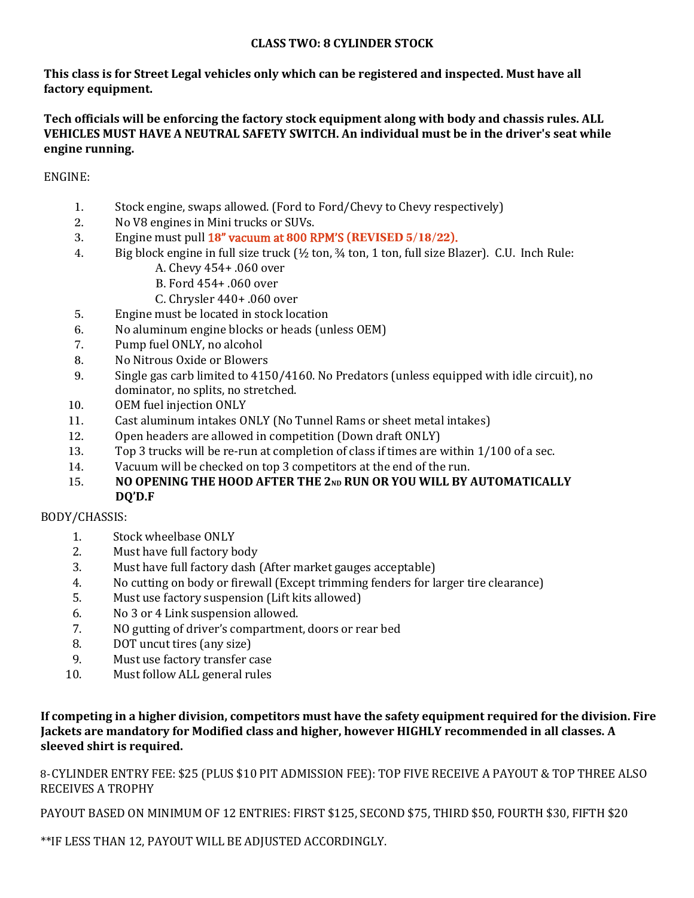### **CLASS TWO: 8 CYLINDER STOCK**

**This class is for Street Legal vehicles only which can be registered and inspected. Must have all factory equipment.**

**Tech officials will be enforcing the factory stock equipment along with body and chassis rules. ALL VEHICLES MUST HAVE A NEUTRAL SAFETY SWITCH. An individual must be in the driver's seat while engine running.**

## ENGINE:

- 1. Stock engine, swaps allowed. (Ford to Ford/Chevy to Chevy respectively)
- 2. No V8 engines in Mini trucks or SUVs.
- 3. Engine must pull 1**8**" vacuum at **8**00 RPM'S **(REVISED 5/18/22)**.
- 4. Big block engine in full size truck (½ ton, ¾ ton, 1 ton, full size Blazer). C.U. Inch Rule:
	- A. Chevy 454+ .060 over
	- B. Ford 454+ .060 over
	- C. Chrysler 440+ .060 over
- 5. Engine must be located in stock location
- 6. No aluminum engine blocks or heads (unless OEM)
- 7. Pump fuel ONLY, no alcohol
- 8. No Nitrous Oxide or Blowers
- 9. Single gas carb limited to 4150/4160. No Predators (unless equipped with idle circuit), no dominator, no splits, no stretched.
- 10. OEM fuel injection ONLY
- 11. Cast aluminum intakes ONLY (No Tunnel Rams or sheet metal intakes)
- 12. Open headers are allowed in competition (Down draft ONLY)
- 13. Top 3 trucks will be re-run at completion of class if times are within 1/100 of a sec.
- 14. Vacuum will be checked on top 3 competitors at the end of the run.
- 15. **NO OPENING THE HOOD AFTER THE 2ND RUN OR YOU WILL BY AUTOMATICALLY DO'D.F**

## BODY/CHASSIS:

- 1. Stock wheelbase ONLY
- 2. Must have full factory body
- 3. Must have full factory dash (After market gauges acceptable)
- 4. No cutting on body or firewall (Except trimming fenders for larger tire clearance)
- 5. Must use factory suspension (Lift kits allowed)
- 6. No 3 or 4 Link suspension allowed.
- 7. NO gutting of driver's compartment, doors or rear bed
- 8. DOT uncut tires (any size)
- 9. Must use factory transfer case
- 10. Must follow ALL general rules

If competing in a higher division, competitors must have the safety equipment required for the division. Fire **Jackets are mandatory for Modified class and higher, however HIGHLY recommended in all classes. A sleeved shirt is required.**

8-CYLINDER ENTRY FEE: \$25 (PLUS \$10 PIT ADMISSION FEE): TOP FIVE RECEIVE A PAYOUT & TOP THREE ALSO RECEIVES A TROPHY

PAYOUT BASED ON MINIMUM OF 12 ENTRIES: FIRST \$125, SECOND \$75, THIRD \$50, FOURTH \$30, FIFTH \$20

\*\*IF LESS THAN 12, PAYOUT WILL BE ADJUSTED ACCORDINGLY.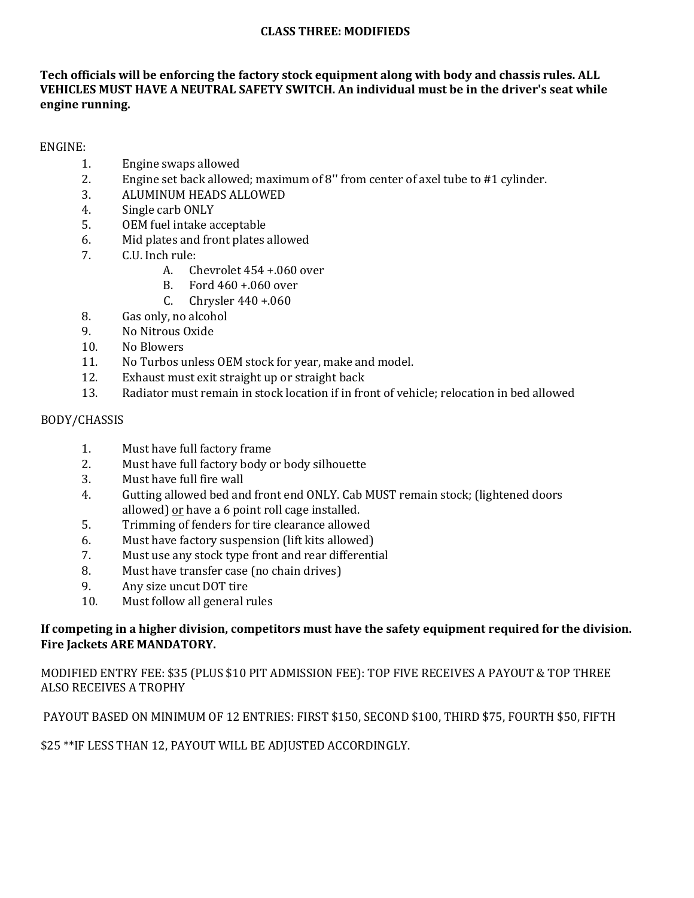#### **CLASS THREE: MODIFIEDS**

## **Tech officials will be enforcing the factory stock equipment along with body and chassis rules. ALL VEHICLES MUST HAVE A NEUTRAL SAFETY SWITCH. An individual must be in the driver's seat while engine running.**

#### ENGINE:

- 1. Engine swaps allowed
- 2. Engine set back allowed; maximum of 8'' from center of axel tube to #1 cylinder.
- 3. ALUMINUM HEADS ALLOWED
- 4. Single carb ONLY
- 5. OEM fuel intake acceptable
- 6. Mid plates and front plates allowed
- 7. C.U. Inch rule:
	- A. Chevrolet 454 +.060 over
	- B. Ford 460 +.060 over
	- C. Chrysler 440 +.060
- 8. Gas only, no alcohol
- 9. No Nitrous Oxide
- 10. No Blowers
- 11. No Turbos unless OEM stock for year, make and model.
- 12. Exhaust must exit straight up or straight back
- 13. Radiator must remain in stock location if in front of vehicle; relocation in bed allowed

## BODY/CHASSIS

- 1. Must have full factory frame
- 2. Must have full factory body or body silhouette
- 3. Must have full fire wall
- 4. Gutting allowed bed and front end ONLY. Cab MUST remain stock; (lightened doors allowed)  $or$  have a 6 point roll cage installed.</u>
- 5. Trimming of fenders for tire clearance allowed
- 6. Must have factory suspension (lift kits allowed)
- 7. Must use any stock type front and rear differential
- 8. Must have transfer case (no chain drives)
- 9. Any size uncut DOT tire
- 10. Must follow all general rules

## **If competing in a higher division, competitors must have the safety equipment required for the division. Fire Jackets ARE MANDATORY.**

MODIFIED ENTRY FEE: \$35 (PLUS \$10 PIT ADMISSION FEE): TOP FIVE RECEIVES A PAYOUT & TOP THREE ALSO RECEIVES A TROPHY

PAYOUT BASED ON MINIMUM OF 12 ENTRIES: FIRST \$150, SECOND \$100, THIRD \$75, FOURTH \$50, FIFTH

\$25 \*\*IF LESS THAN 12, PAYOUT WILL BE ADJUSTED ACCORDINGLY.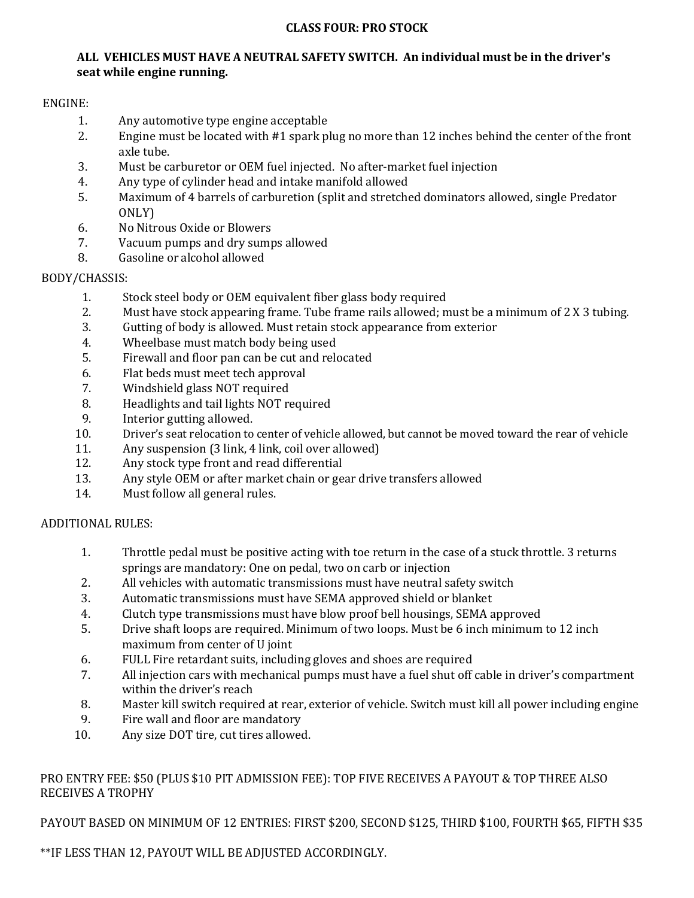#### **CLASS FOUR: PRO STOCK**

### **ALL VEHICLES MUST HAVE A NEUTRAL SAFETY SWITCH. An individual must be in the driver's seat while engine running.**

#### ENGINE:

- 1. Any automotive type engine acceptable
- 2. Engine must be located with #1 spark plug no more than 12 inches behind the center of the front axle tube.
- 3. Must be carburetor or OEM fuel injected. No after-market fuel injection
- 4. Any type of cylinder head and intake manifold allowed
- 5. Maximum of 4 barrels of carburetion (split and stretched dominators allowed, single Predator ONLY)
- 6. No Nitrous Oxide or Blowers
- 7. Vacuum pumps and dry sumps allowed
- 8. Gasoline or alcohol allowed

## BODY/CHASSIS:

- 1. Stock steel body or OEM equivalent fiber glass body required
- 2. Must have stock appearing frame. Tube frame rails allowed; must be a minimum of 2 X 3 tubing.
- 3. Gutting of body is allowed. Must retain stock appearance from exterior
- 4. Wheelbase must match body being used
- 5. Firewall and floor pan can be cut and relocated
- 6. Flat beds must meet tech approval
- 7. Windshield glass NOT required
- 8. Headlights and tail lights NOT required
- 9. Interior gutting allowed.
- 10. Driver's seat relocation to center of vehicle allowed, but cannot be moved toward the rear of vehicle
- 11. Any suspension (3 link, 4 link, coil over allowed)
- 12. Any stock type front and read differential
- 13. Any style OEM or after market chain or gear drive transfers allowed
- 14. Must follow all general rules.

## ADDITIONAL RULES:

- 1. Throttle pedal must be positive acting with toe return in the case of a stuck throttle. 3 returns springs are mandatory: One on pedal, two on carb or injection
- 2. All vehicles with automatic transmissions must have neutral safety switch
- 3. Automatic transmissions must have SEMA approved shield or blanket
- 4. Clutch type transmissions must have blow proof bell housings, SEMA approved
- 5. Drive shaft loops are required. Minimum of two loops. Must be 6 inch minimum to 12 inch maximum from center of U joint
- 6. FULL Fire retardant suits, including gloves and shoes are required
- 7. All injection cars with mechanical pumps must have a fuel shut off cable in driver's compartment within the driver's reach
- 8. Master kill switch required at rear, exterior of vehicle. Switch must kill all power including engine
- 9. Fire wall and floor are mandatory
- 10. Any size DOT tire, cut tires allowed.

## PRO ENTRY FEE: \$50 (PLUS \$10 PIT ADMISSION FEE): TOP FIVE RECEIVES A PAYOUT & TOP THREE ALSO RECEIVES A TROPHY

PAYOUT BASED ON MINIMUM OF 12 ENTRIES: FIRST \$200, SECOND \$125, THIRD \$100, FOURTH \$65, FIFTH \$35

## \*\*IF LESS THAN 12, PAYOUT WILL BE ADJUSTED ACCORDINGLY.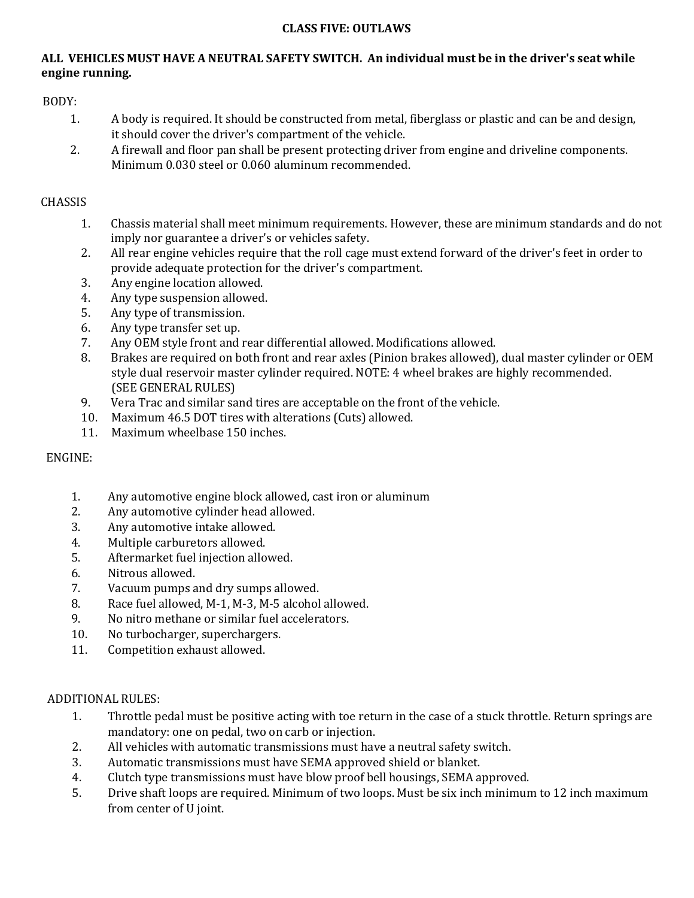### **CLASS FIVE: OUTLAWS**

### **ALL VEHICLES MUST HAVE A NEUTRAL SAFETY SWITCH. An individual must be in the driver's seat while engine running.**

BODY:

- 1. A body is required. It should be constructed from metal, fiberglass or plastic and can be and design, it should cover the driver's compartment of the vehicle.
- 2. A firewall and floor pan shall be present protecting driver from engine and driveline components. Minimum 0.030 steel or 0.060 aluminum recommended.

## CHASSIS

- 1. Chassis material shall meet minimum requirements. However, these are minimum standards and do not imply nor guarantee a driver's or vehicles safety.
- 2. All rear engine vehicles require that the roll cage must extend forward of the driver's feet in order to provide adequate protection for the driver's compartment.
- 3. Any engine location allowed.
- 4. Any type suspension allowed.
- 5. Any type of transmission.
- 6. Any type transfer set up.
- 7. Any OEM style front and rear differential allowed. Modifications allowed.
- 8. Brakes are required on both front and rear axles (Pinion brakes allowed), dual master cylinder or OEM style dual reservoir master cylinder required. NOTE: 4 wheel brakes are highly recommended. (SEE GENERAL RULES)
- 9. Vera Trac and similar sand tires are acceptable on the front of the vehicle.
- 10. Maximum 46.5 DOT tires with alterations (Cuts) allowed.
- 11. Maximum wheelbase 150 inches.

## ENGINE:

- 1. Any automotive engine block allowed, cast iron or aluminum
- 2. Any automotive cylinder head allowed.
- 3. Any automotive intake allowed.
- 4. Multiple carburetors allowed.
- 5. Aftermarket fuel injection allowed.
- 6. Nitrous allowed.
- 7. Vacuum pumps and dry sumps allowed.
- 8. Race fuel allowed, M-1, M-3, M-5 alcohol allowed.
- 9. No nitro methane or similar fuel accelerators.
- 10. No turbocharger, superchargers.
- 11. Competition exhaust allowed.

## ADDITIONAL RULES:

- 1. Throttle pedal must be positive acting with toe return in the case of a stuck throttle. Return springs are mandatory: one on pedal, two on carb or injection.
- 2. All vehicles with automatic transmissions must have a neutral safety switch.
- 3. Automatic transmissions must have SEMA approved shield or blanket.
- 4. Clutch type transmissions must have blow proof bell housings, SEMA approved.
- 5. Drive shaft loops are required. Minimum of two loops. Must be six inch minimum to 12 inch maximum from center of U joint.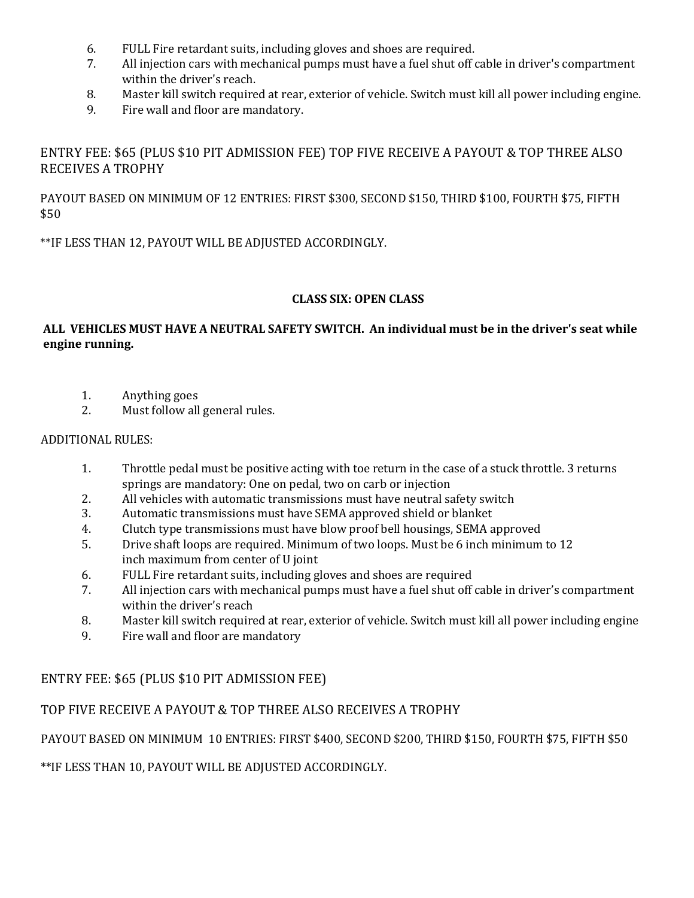- 6. FULL Fire retardant suits, including gloves and shoes are required.
- 7. All injection cars with mechanical pumps must have a fuel shut off cable in driver's compartment within the driver's reach.
- 8. Master kill switch required at rear, exterior of vehicle. Switch must kill all power including engine.
- 9. Fire wall and floor are mandatory.

## ENTRY FEE: \$65 (PLUS \$10 PIT ADMISSION FEE) TOP FIVE RECEIVE A PAYOUT & TOP THREE ALSO RECEIVES A TROPHY

PAYOUT BASED ON MINIMUM OF 12 ENTRIES: FIRST \$300, SECOND \$150, THIRD \$100, FOURTH \$75, FIFTH \$50

\*\*IF LESS THAN 12, PAYOUT WILL BE ADJUSTED ACCORDINGLY.

#### **CLASS SIX: OPEN CLASS**

### **ALL VEHICLES MUST HAVE A NEUTRAL SAFETY SWITCH. An individual must be in the driver's seat while engine running.**

- 1. Anything goes
- 2. Must follow all general rules.

## ADDITIONAL RULES:

- 1. Throttle pedal must be positive acting with toe return in the case of a stuck throttle. 3 returns springs are mandatory: One on pedal, two on carb or injection
- 2. All vehicles with automatic transmissions must have neutral safety switch
- 3. Automatic transmissions must have SEMA approved shield or blanket
- 4. Clutch type transmissions must have blow proof bell housings, SEMA approved
- 5. Drive shaft loops are required. Minimum of two loops. Must be 6 inch minimum to 12 inch maximum from center of U joint
- 6. FULL Fire retardant suits, including gloves and shoes are required
- 7. All injection cars with mechanical pumps must have a fuel shut off cable in driver's compartment within the driver's reach
- 8. Master kill switch required at rear, exterior of vehicle. Switch must kill all power including engine
- 9. Fire wall and floor are mandatory

# ENTRY FEE: \$65 (PLUS \$10 PIT ADMISSION FEE)

## TOP FIVE RECEIVE A PAYOUT & TOP THREE ALSO RECEIVES A TROPHY

## PAYOUT BASED ON MINIMUM 10 ENTRIES: FIRST \$400, SECOND \$200, THIRD \$150, FOURTH \$75, FIFTH \$50

\*\*IF LESS THAN 10, PAYOUT WILL BE ADJUSTED ACCORDINGLY.